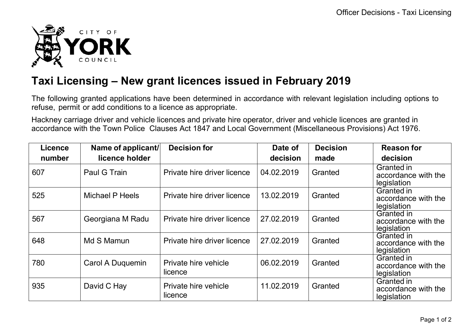

## **Taxi Licensing – New grant licences issued in February 2019**

The following granted applications have been determined in accordance with relevant legislation including options to refuse, permit or add conditions to a licence as appropriate.

Hackney carriage driver and vehicle licences and private hire operator, driver and vehicle licences are granted in accordance with the Town Police Clauses Act 1847 and Local Government (Miscellaneous Provisions) Act 1976.

| <b>Licence</b> | Name of applicant/     | <b>Decision for</b>             | Date of    | <b>Decision</b> | <b>Reason for</b>                                       |
|----------------|------------------------|---------------------------------|------------|-----------------|---------------------------------------------------------|
| number         | licence holder         |                                 | decision   | made            | decision                                                |
| 607            | Paul G Train           | Private hire driver licence     | 04.02.2019 | Granted         | Granted in<br>accordance with the<br>legislation        |
| 525            | <b>Michael P Heels</b> | Private hire driver licence     | 13.02.2019 | Granted         | Granted in<br>accordance with the<br>legislation        |
| 567            | Georgiana M Radu       | Private hire driver licence     | 27.02.2019 | Granted         | <b>Granted in</b><br>accordance with the<br>legislation |
| 648            | Md S Mamun             | Private hire driver licence     | 27.02.2019 | Granted         | Granted in<br>accordance with the<br>legislation        |
| 780            | Carol A Duquemin       | Private hire vehicle<br>licence | 06.02.2019 | Granted         | Granted in<br>accordance with the<br>legislation        |
| 935            | David C Hay            | Private hire vehicle<br>licence | 11.02.2019 | Granted         | Granted in<br>accordance with the<br>legislation        |